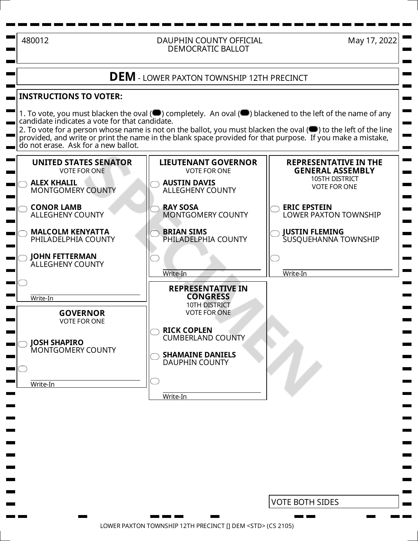## 480012 DAUPHIN COUNTY OFFICIAL DEMOCRATIC BALLOT

May 17, 2022

## **DEM** - LOWER PAXTON TOWNSHIP 12TH PRECINCT **INSTRUCTIONS TO VOTER:** 1. To vote, you must blacken the oval ( $\blacksquare$ ) completely. An oval ( $\blacksquare$ ) blackened to the left of the name of any candidate indicates a vote for that candidate. 2. To vote for a person whose name is not on the ballot, you must blacken the oval  $($ **)** to the left of the line provided, and write or print the name in the blank space provided for that purpose. If you make a mistake, do not erase. Ask for a new ballot. **UNITED STATES SENATOR** VOTE FOR ONE **ALEX KHALIL** MONTGOMERY COUNTY **CONOR LAMB** ALLEGHENY COUNTY **MALCOLM KENYATTA** PHILADELPHIA COUNTY **JOHN FETTERMAN** ALLEGHENY COUNTY Write-In **GOVERNOR** VOTE FOR ONE **JOSH SHAPIRO** MONTGOMERY COUNTY Write-In **LIEUTENANT GOVERNOR** VOTE FOR ONE **AUSTIN DAVIS** ALLEGHENY COUNTY **RAY SOSA** MONTGOMERY COUNTY **BRIAN SIMS** PHILADELPHIA COUNTY Write-In **REPRESENTATIVE IN CONGRESS** 10TH DISTRICT VOTE FOR ONE **RICK COPLEN** CUMBERLAND COUNTY **SHAMAINE DANIELS** DAUPHIN COUNTY Write-In **REPRESENTATIVE IN THE GENERAL ASSEMBLY** 105TH DISTRICT VOTE FOR ONE **ERIC EPSTEIN** LOWER PAXTON TOWNSHIP **JUSTIN FLEMING** SUSQUEHANNA TOWNSHIP Write-In

VOTE BOTH SIDES